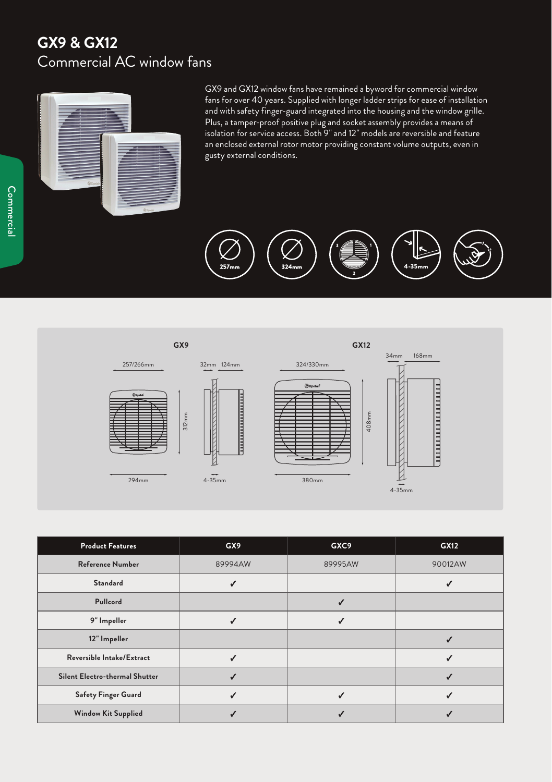## **GX9 & GX12** Commercial AC window fans



GX9 and GX12 window fans have remained a byword for commercial window fans for over 40 years. Supplied with longer ladder strips for ease of installation and with safety finger-guard integrated into the housing and the window grille. Plus, a tamper-proof positive plug and socket assembly provides a means of isolation for service access. Both 9" and 12" models are reversible and feature an enclosed external rotor motor providing constant volume outputs, even in gusty external conditions.





| <b>Product Features</b>        | GX9     | GXC9    | <b>GX12</b> |
|--------------------------------|---------|---------|-------------|
| <b>Reference Number</b>        | 89994AW | 89995AW | 90012AW     |
| <b>Standard</b>                |         |         |             |
| Pullcord                       |         | √       |             |
| 9" Impeller                    | √       | ✓       |             |
| 12" Impeller                   |         |         |             |
| Reversible Intake/Extract      |         |         |             |
| Silent Electro-thermal Shutter |         |         |             |
| Safety Finger Guard            |         | √       |             |
| <b>Window Kit Supplied</b>     |         |         |             |